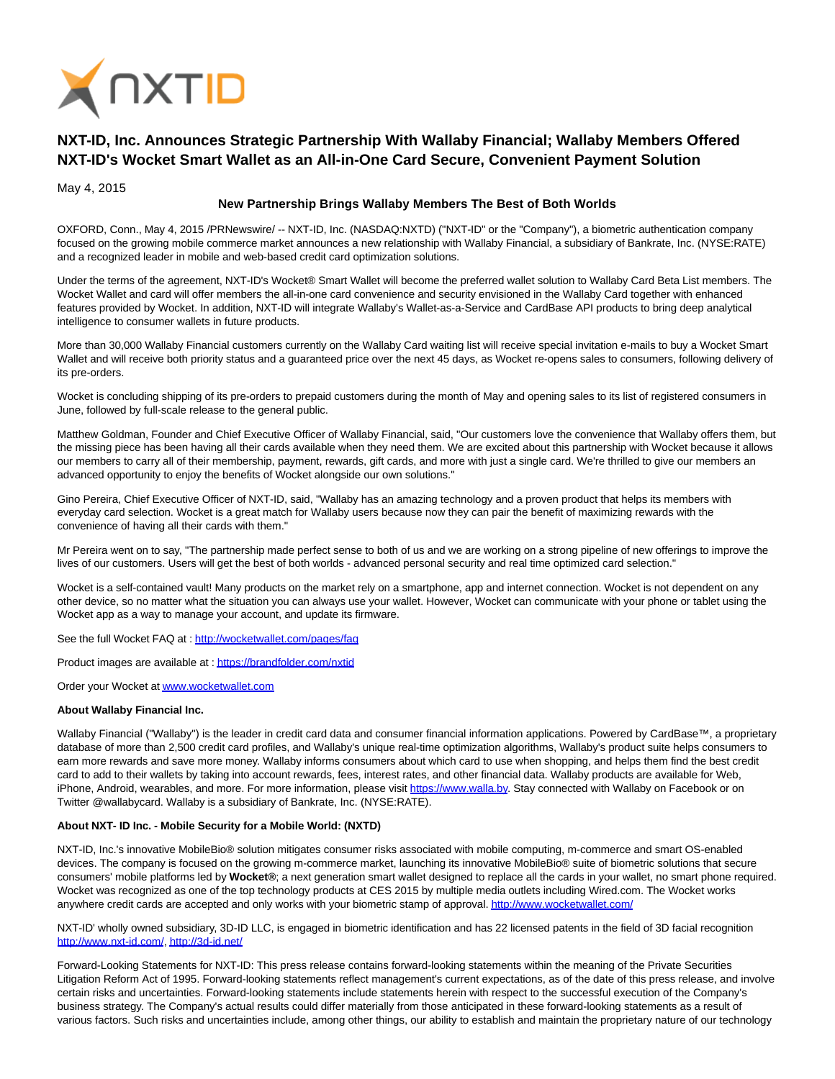

## **NXT-ID, Inc. Announces Strategic Partnership With Wallaby Financial; Wallaby Members Offered NXT-ID's Wocket Smart Wallet as an All-in-One Card Secure, Convenient Payment Solution**

May 4, 2015

## **New Partnership Brings Wallaby Members The Best of Both Worlds**

OXFORD, Conn., May 4, 2015 /PRNewswire/ -- NXT-ID, Inc. (NASDAQ:NXTD) ("NXT-ID" or the "Company"), a biometric authentication company focused on the growing mobile commerce market announces a new relationship with Wallaby Financial, a subsidiary of Bankrate, Inc. (NYSE:RATE) and a recognized leader in mobile and web-based credit card optimization solutions.

Under the terms of the agreement, NXT-ID's Wocket® Smart Wallet will become the preferred wallet solution to Wallaby Card Beta List members. The Wocket Wallet and card will offer members the all-in-one card convenience and security envisioned in the Wallaby Card together with enhanced features provided by Wocket. In addition, NXT-ID will integrate Wallaby's Wallet-as-a-Service and CardBase API products to bring deep analytical intelligence to consumer wallets in future products.

More than 30,000 Wallaby Financial customers currently on the Wallaby Card waiting list will receive special invitation e-mails to buy a Wocket Smart Wallet and will receive both priority status and a guaranteed price over the next 45 days, as Wocket re-opens sales to consumers, following delivery of its pre-orders.

Wocket is concluding shipping of its pre-orders to prepaid customers during the month of May and opening sales to its list of registered consumers in June, followed by full-scale release to the general public.

Matthew Goldman, Founder and Chief Executive Officer of Wallaby Financial, said, "Our customers love the convenience that Wallaby offers them, but the missing piece has been having all their cards available when they need them. We are excited about this partnership with Wocket because it allows our members to carry all of their membership, payment, rewards, gift cards, and more with just a single card. We're thrilled to give our members an advanced opportunity to enjoy the benefits of Wocket alongside our own solutions."

Gino Pereira, Chief Executive Officer of NXT-ID, said, "Wallaby has an amazing technology and a proven product that helps its members with everyday card selection. Wocket is a great match for Wallaby users because now they can pair the benefit of maximizing rewards with the convenience of having all their cards with them."

Mr Pereira went on to say, "The partnership made perfect sense to both of us and we are working on a strong pipeline of new offerings to improve the lives of our customers. Users will get the best of both worlds - advanced personal security and real time optimized card selection."

Wocket is a self-contained vault! Many products on the market rely on a smartphone, app and internet connection. Wocket is not dependent on any other device, so no matter what the situation you can always use your wallet. However, Wocket can communicate with your phone or tablet using the Wocket app as a way to manage your account, and update its firmware.

See the full Wocket FAQ at [: http://wocketwallet.com/pages/faq](http://wocketwallet.com/pages/faq)

Product images are available at [: https://brandfolder.com/nxtid](https://brandfolder.com/nxtid)

Order your Wocket a[t www.wocketwallet.com](http://www.wocketwallet.com/)

## **About Wallaby Financial Inc.**

Wallaby Financial ("Wallaby") is the leader in credit card data and consumer financial information applications. Powered by CardBase™, a proprietary database of more than 2,500 credit card profiles, and Wallaby's unique real-time optimization algorithms, Wallaby's product suite helps consumers to earn more rewards and save more money. Wallaby informs consumers about which card to use when shopping, and helps them find the best credit card to add to their wallets by taking into account rewards, fees, interest rates, and other financial data. Wallaby products are available for Web, iPhone, Android, wearables, and more. For more information, please visit [https://www.walla.by.](https://www.walla.by/) Stay connected with Wallaby on Facebook or on Twitter @wallabycard. Wallaby is a subsidiary of Bankrate, Inc. (NYSE:RATE).

## **About NXT- ID Inc. - Mobile Security for a Mobile World: (NXTD)**

NXT-ID, Inc.'s innovative MobileBio® solution mitigates consumer risks associated with mobile computing, m-commerce and smart OS-enabled devices. The company is focused on the growing m-commerce market, launching its innovative MobileBio® suite of biometric solutions that secure consumers' mobile platforms led by **Wocket®**; a next generation smart wallet designed to replace all the cards in your wallet, no smart phone required. Wocket was recognized as one of the top technology products at CES 2015 by multiple media outlets including Wired.com. The Wocket works anywhere credit cards are accepted and only works with your biometric stamp of approval[. http://www.wocketwallet.com/](http://www.wocketwallet.com/)

NXT-ID' wholly owned subsidiary, 3D-ID LLC, is engaged in biometric identification and has 22 licensed patents in the field of 3D facial recognition [http://www.nxt-id.com/,](http://www.nxt-id.com/)<http://3d-id.net/>

Forward-Looking Statements for NXT-ID: This press release contains forward-looking statements within the meaning of the Private Securities Litigation Reform Act of 1995. Forward-looking statements reflect management's current expectations, as of the date of this press release, and involve certain risks and uncertainties. Forward-looking statements include statements herein with respect to the successful execution of the Company's business strategy. The Company's actual results could differ materially from those anticipated in these forward-looking statements as a result of various factors. Such risks and uncertainties include, among other things, our ability to establish and maintain the proprietary nature of our technology